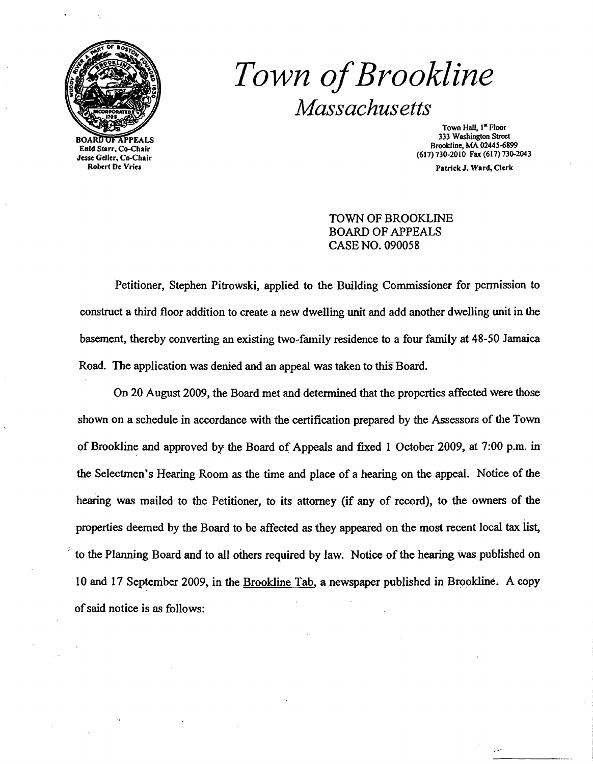

BOARD <del>OF A</del>PPEALS Enid Starr, Co-Cbair Jesse Gdler, Co-Chair Robert De Vries

# *Town ofBrookline Massachusetts*

Town Hall, I" Floor 333 Washington Street Brookline, MA 0244S~899 (617) 730-2010 Fax (617) 730-2043

Patrick J. Ward, Clerk

TOWN OF BROOKLINE BOARD OF APPEALS CASE NO. 090058

Petitioner. Stephen Pitrowski, applied to the Building Commissioner for permission to construct a third floor addition to create a new dwelling unit and add another dwelling unit in the basement. thereby converting an existing two-family residence to a four family at 48-50 Jamaica Road. The application was denied and an appeal was taken to this Boara:

On 20 August 2009, the Board met and detennined that the properties affected were those shown on a schedule in accordance with the certification prepared by the Assessors of the Town of Brookline and approved by the Board of Appeals and fixed 1 October 2009, at 7:00 p.m. in the Selectmen's Hearing Room as the time and place of a hearing on the appeal. Notice of the hearing was mailed to the Petitioner, to its attorney (if any of record), to the owners of the properties deemed by the Board to be affected as they appeared on the most recent local tax list, to the Planning Board and to all others required by law. Notice of the hearing was published on 10 and 17 September 2009. in the Brookline Tab, a newspaper published in Brookline. A copy ofsaid notice is as follows: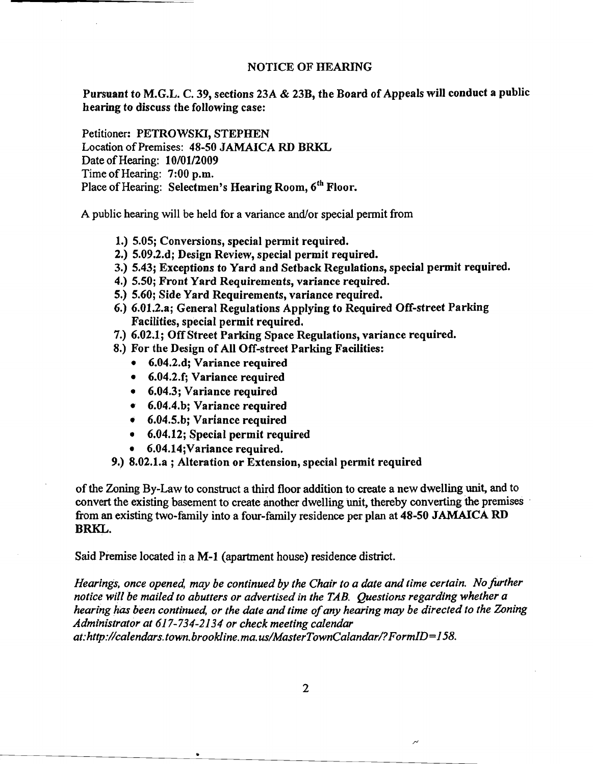#### NOTICE OF HEARING

Pursuant to M.G.L. C. 39, sections 23A & 23B, the Board of Appeals will conduct a public hearing to discuss the following case:

Petitioner: PETROWSKI, STEPHEN Location of Premises: 48-50 JAMAICA RD BRKL Date of Hearing: 10/01/2009 Time of Hearing: 7:00 p.m. Place of Hearing: Selectmen's Hearing Room, 6<sup>th</sup> Floor.

A public hearing will be held for a variance and/or special permit from

- 1.) 5.05; Conversions, special permit required.
- 2.) 5.09.2.d; Design Review, special permit required.
- 3.) 5.43; Exceptions to Yard and Setback Regulations, special permit required.
- 4.) 5.50; Front Yard Requirements, variance required.
- 5.) 5.60; Side Yard Requirements, variance required.
- 6.) 6.01.2.a; General Regulations Applying to Required Off-street Parking Facilities, special permit required.
- 7.) 6.02.1; OffStreet Parking Space Regulations, variance required.
- 8.) For the Design of All Off-street Parking Facilities:
	- 6.04.2.d; Variance required
	- 6.04.2.f; Variance required
	- 6.04.3; Variance required
	- 6.04.4.b; Variance required
	- 6.04.5.b; Variance required
	- 6.04.12; Special permit required
	- 6.04.14;Variance required.

..

9.) 8.02.1.a ; Alteration or Extension, special permit required

ofthe Zoning By-Law to construct a third floor addition to create a new dwelling unit, and to convert the existing basement to create another dwelling unit, thereby converting the premises from an existing two-family into a four-family residence per plan at 48-50 JAMAICA RD BRKL.

Said Premise located in a M-l (apartment house) residence district.

*Hearings, once opened, may be continued by the Chair to a date and time certain. No further notice will be mailed to abutters or advertised in the TAB. Questions regarding whether a hearing has been continued, or the date and time ofany hearing may be directed to the Zoning Administrator at* 617-734-2134 *or check meeting calendar at:http://calendars.town.brookline.ma.usIMasterTownCalandarl?FormID=158.* 

2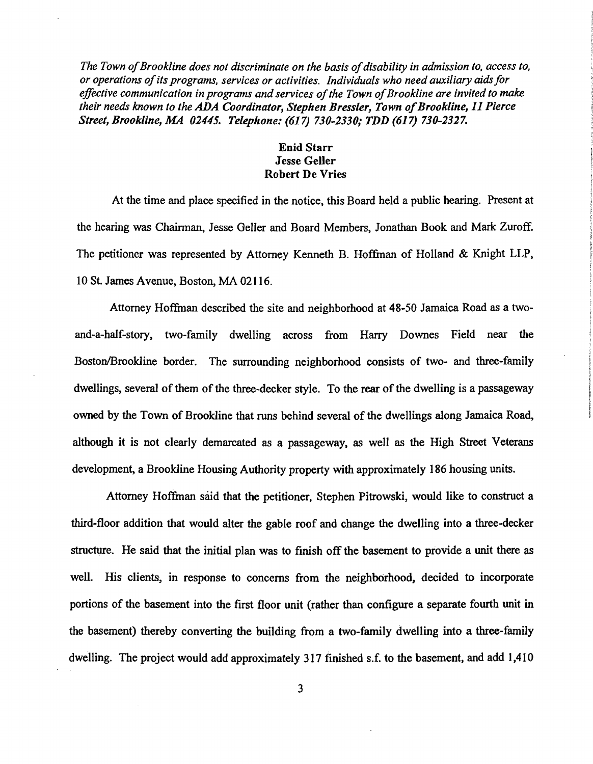The Town of Brookline does not discriminate on the basis of disability in admission to, access to, *or operations ofits programs, services or activities. Individuals who need auxiliary aidsfor effective communication in programs and services of the Town of Brookline are invited to make their needs known to the ADA Coordinator, Stephen Bressler, Town of Brookline, 11 Pierce Street, Brookline, MA 02445. Telephone:* (617) *730-2330,' TDD* (617) *730-2327.* 

## Enid Starr Jesse Geller Robert De Vries

At the time and place specified in the notice, this Board held a public hearing. Present at the hearing was Chairman, Jesse Geller and Board Members, Jonathan Book and Mark Zuroff. The petitioner was represented by Attorney Kenneth B. Hoffman of Holland & Knight LLP, 10 St. James Avenue, Boston, MA 02116.

Attorney Hoffman described the site and neighborhood at 48-50 Jamaica Road as a twoand-a-half-story, two-family dwelling across from Harry Downes Field near the Boston/Brookline border. The surrounding neighborhood consists of two- and three-family dwellings, several of them of the three-decker style. To the rear of the dwelling is a passageway owned by the Town of Brookline that runs behind several of the dwellings along Jamaica Road, although it is not clearly demarcated as a passageway, as well as the High Street Veterans development, a Brookline Housing Authority property with approximately 186 housing units.

Attorney Hoffman said that the petitioner, Stephen Pitrowski, would like to construct a third-floor addition that would alter the gable roof and change the dwelling into a three-decker structure. He said that the initial plan was to finish off the basement to provide a unit there as well. His clients, in response to concerns from the neighborhood, decided to incorporate portions of the basement into the first floor unit (rather than configure a separate fourth unit in the basement) thereby converting the building from a two-family dwelling into a three-family dwelling. The project would add approximately 317 finished s.f. to the basement, and add 1,410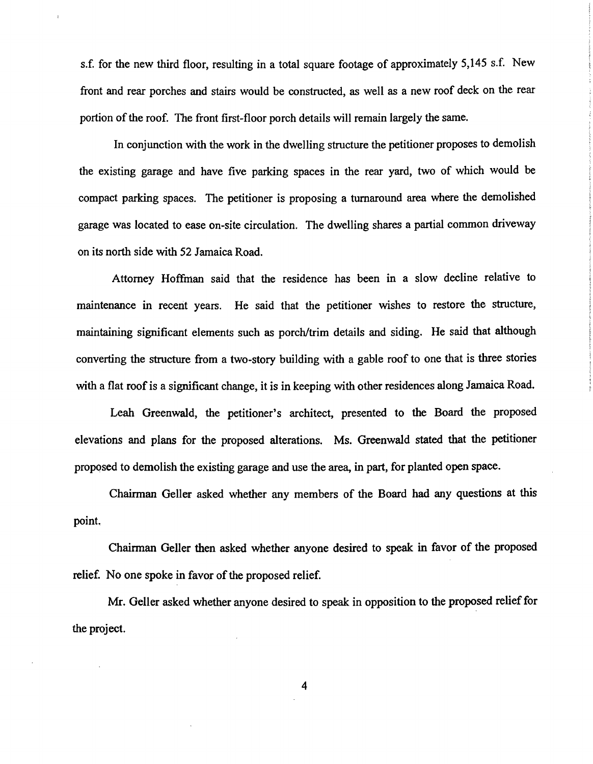s.f. for the new third floor, resulting in a total square footage of approximately 5,145 s.f. New front and rear porches and stairs would be constructed, as well as a new roof deck on the rear portion of the roof. The front first-floor porch details will remain largely the same.

In conjunction with the work in the dwelling structure the petitioner proposes to demolish the existing garage and have five parking spaces in the rear yard, two of which would be compact parking spaces. The petitioner is proposing a turnaround area where the demolished garage was located to ease on-site circulation. The dwelling shares a partial common driveway on its north side with 52 Jamaica Road.

Attorney Hoffman said that the residence has been in a slow decline relative to maintenance in recent years. He said that the petitioner wishes to restore the structure, maintaining significant elements such as porch/trim details and siding. He said that although converting the structure from a two-story building with a gable roof to one that is three stories with a flat roof is a significant change, it is in keeping with other residences along Jamaica Road.

Leah Greenwald, the petitioner's architect, presented to the Board the proposed elevations and plans for the proposed alterations. Ms. Greenwald stated that the petitioner proposed to demolish the existing garage and use the area, in part, for planted open space.

Chairman Geller asked whether any members of the Board had any questions at this point.

Chairman Geller then asked whether anyone desired to speak in favor of the proposed relief. No one spoke in favor of the proposed relief.

Mr. Geller asked whether anyone desired to speak in opposition to the proposed relief for the project.

4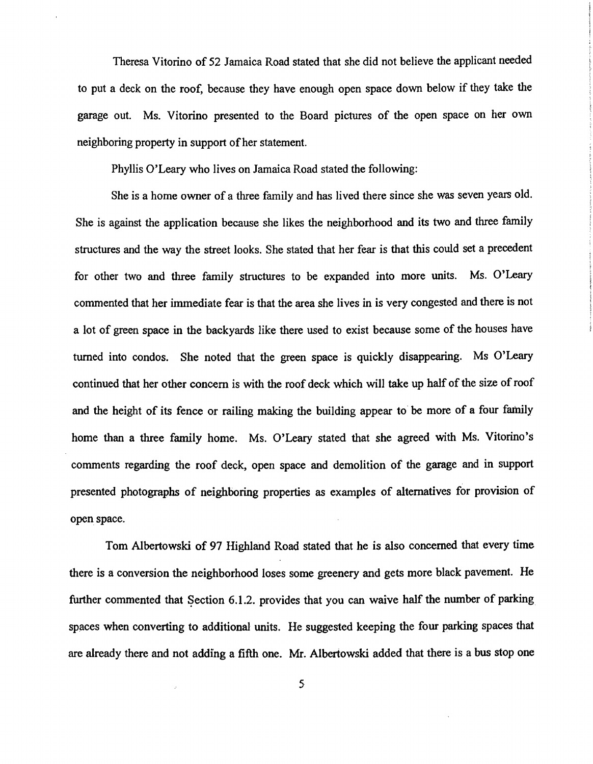Theresa Vitorino of 52 Jamaica Road stated that she did not believe the applicant needed to put a deck on the roof, because they have enough open space down below if they take the garage out. Ms. Vitorino presented to the Board pictures of the open space on her own neighboring property in support of her statement.

Phyllis O'Leary who lives on Jamaica Road stated the following:

She is a home owner of a three family and has lived there since she was seven years old. She is against the application because she likes the neighborhood and its two and three family structures and the way the street looks. She stated that her fear is that this could set a precedent for other two and three family structures to be expanded into more units. Ms. O'Leary commented that her immediate fear is that the area she lives in is very congested and there is not a lot of green space in the backyards like there used to exist because some of the houses have turned into condos. She noted that the green space is quickly disappearing. Ms O'Leary continued that her other concern is with the roof deck which will take up half of the size of roof and the height of its fence or railing making the building appear to be more of a four family home than a three family home. Ms. O'Leary stated that she agreed with Ms. Vitorino's comments regarding the roof deck, open space and demolition of the garage and in support presented photographs of neighboring properties as examples of alternatives for provision of open space.

Tom Albertowski of 97 Highland Road stated that he is also concerned that every time there is a conversion the neighborhood loses some greenery and gets more black pavement. He further commented that Section 6.1.2. provides that you can waive half the number of parking spaces when converting to additional units. He suggested keeping the four parking spaces that are already there and not adding a fifth one. Mr. Albertowski added that there is a bus stop one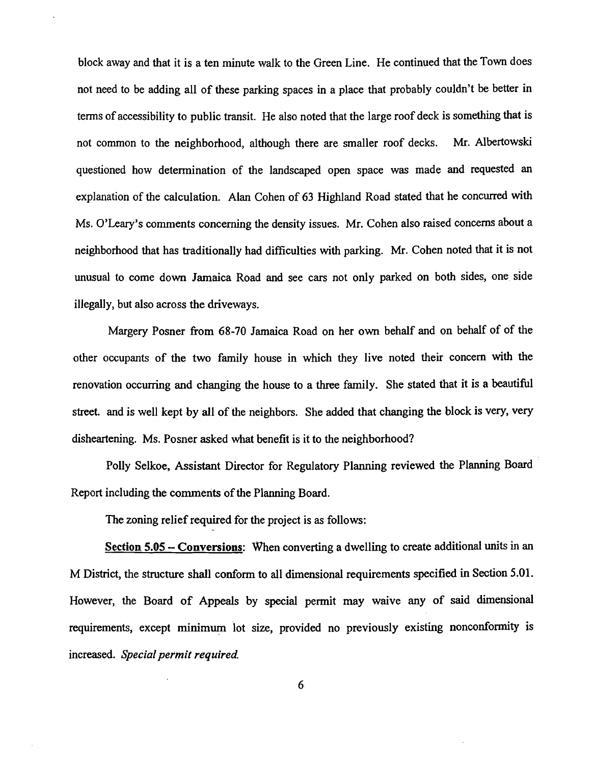block away and that it is a ten minute walk to the Green Line. He continued that the Town does not need to be adding all of these parking spaces in a place that probably couldn't be better in tenns of accessibility to public transit. He also noted that the large roof deck is something that is not common to the neighborhood, although there are smaller roof decks. Mr. Albertowski questioned how detennination of the landscaped open space was made and requested an explanation of the calculation. Alan Cohen of 63 Highland Road stated that he concurred with Ms. O'leary's comments concerning the density issues. Mr. Cohen also raised concerns about a neighborhood that has traditionally had difficulties with parking. Mr. Cohen noted that it is not unusual to come down Jamaica Road and see cars not only parked on both sides, one side illegally, but also across the driveways.

Margery Posner from 68-70 Jamaica Road on her own behalf and on behalf of of the other occupants of the two family house in which they live noted their concern with the renovation occurring and changing the house to a three family. She stated that it is a beautiful street. and is well kept by all of the neighbors. She added that changing the block is very, very disheartening. Ms. Posner asked what benefit is it to the neighborhood?

Polly Selkoe, Assistant Director for Regulatory Planning reviewed the Planning Board . Report including the comments of the Planning Board.

The zoning relief required for the project is as follows:

Section 5.05 – Conversions: When converting a dwelling to create additional units in an M District, the structure shall conform to all dimensional requirements specified in Section 5.01. However, the Board of Appeals by special permit may waive any of said dimensional requirements, except minimum lot size, provided no previously existing nonconformity is increased. *Special permit required* 

6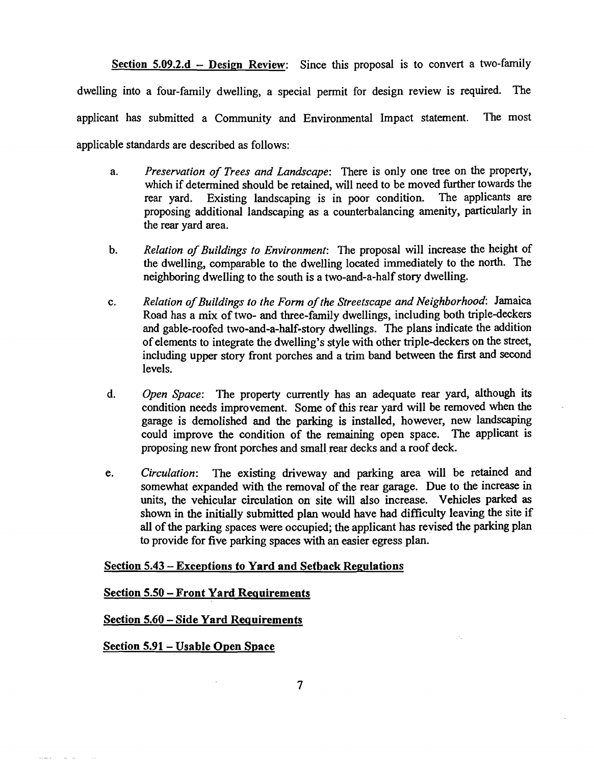Section  $5.09.2.d - Design Review$ : Since this proposal is to convert a two-family dwelling into a four-family dwelling, a special permit for design review is required. The applicant has submitted a Community and Environmental Impact statement. The most applicable standards are described as follows:

- a. *Preservation of Trees and Landscape:* There is only one tree on the property, which if determined should be retained, will need to be moved further towards the rear yard. Existing landscaping is in poor condition. The applicants are proposing additional landscaping as a counterbalancing amenity, particularly in the rear yard area.
- b. Relation of Buildings to Environment: The proposal will increase the height of the dwelling, comparable to the dwelling located immediately to the north. The neighboring dwelling to the south is a two-and-a-half story dwelling.
- c. *Relation ofBuildings to the Form ofthe Streetscape and Neighborhood:* Jamaica Road has a mix of two- and three-family dwellings, including both triple-deckers and gable-roofed two-and-a-half-story dwellings. The plans indicate the addition of elements to integrate the dwelling's style with other triple-deckers on the street, including upper story front porches and a trim band between the first and second levels.
- d. *Open Space:* The property currently has an adequate rear yard, although its condition needs improvement. Some of this rear yard will be removed when the garage is demolished and the parking is installed, however, new landscaping could improve the condition of the remaining open space. The applicant is proposing new front porches and small rear decks and a roof deck.
- e. *Circulation:* The existing driveway and parking area will be retained and somewhat expanded with the removal of the rear garage. Due to the increase in units, the vehicular circulation on site Will also increase. Vehicles parked as shown in the initially submitted plan would have had difficulty leaving the site if all of the parking spaces were occupied; the applicant has revised the parking plan to provide for five parking spaces with an easier egress plan.

## Section 5.43 - Exceptions to Yard and Setback Regulations

#### Section 5.50 - Front Yard Requirements

## Section 5.60 - Side Yard Requirements

#### Section 5.91- Usable Open Space

 $\sim 100$  km  $^{-1}$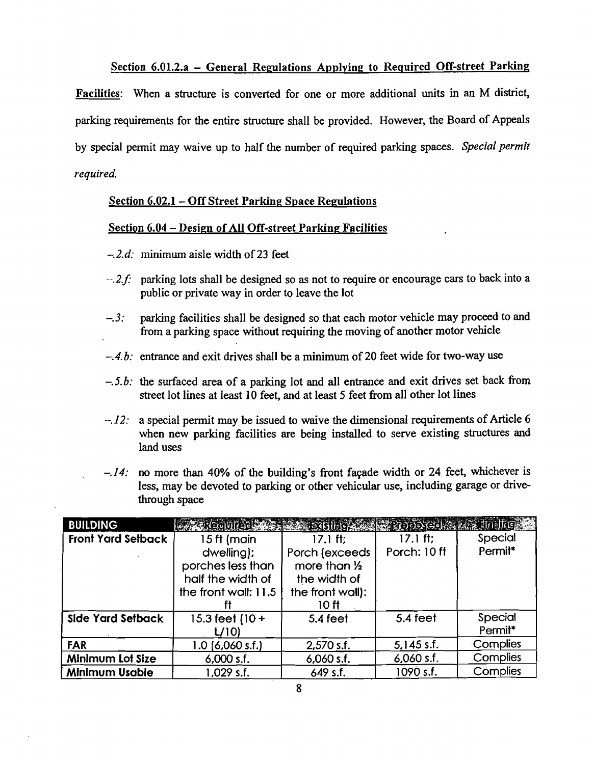## Section 6.01.2.a – General Regulations Applying to Required Off-street Parking

Facilities: When a structure is converted for one or more additional units in an M district, parking requirements for the entire structure shall be provided. However, the Board of Appeals by special permit may waive up to half the number of required parking spaces. *Special permit required.* 

## Section 6.02.1 – Off Street Parking Space Regulations

#### Section 6.04 - Design of All Off-street Parking Facilities

- *-.2.d:* minimum aisle width of23 feet
- $-.2.f.$  parking lots shall be designed so as not to require or encourage cars to back into a public or private way in order to leave the lot
- $-.3:$  parking facilities shall be designed so that each motor vehicle may proceed to and from a parking space without requiring the moving of another motor vehicle
- -.4.b: entrance and exit drives shall be a minimum of 20 feet wide for two-way use
- *-.5.b:* the surfaced area of a parking lot and all entrance and exit drives set back from street lot lines at least 10 feet, and at least 5 feet from all other lot lines
- $-.12$ : a special permit may be issued to waive the dimensional requirements of Article 6 when new parking facilities are being installed to serve existing structures and land uses
- $-.14$ : no more than 40% of the building's front façade width or 24 feet, whichever is less, may be devoted to parking or other vehicular use, including garage or drivethrough space

| <b>BUILDING</b>           | <b>Required Communication of the Proposed Advisor Engineer</b> |                  |                   |                     |
|---------------------------|----------------------------------------------------------------|------------------|-------------------|---------------------|
| <b>Front Yard Setback</b> | 15 ft (main                                                    | $17.1$ ft;       | $17.1 \text{ ft}$ | Special             |
|                           | dwelling);                                                     | Porch (exceeds   | Porch: 10 ff      | Permit <sup>*</sup> |
|                           | porches less than                                              | more than 1/2    |                   |                     |
|                           | half the width of                                              | the width of     |                   |                     |
|                           | the front wall: 11.5                                           | the front wall): |                   |                     |
|                           |                                                                | 10 ft            |                   |                     |
| Side Yard Setback         | 15.3 feet $(10 +$                                              | $5.4$ feet       | 5.4 feet          | Special             |
|                           | L/10                                                           |                  |                   | Permit <sup>*</sup> |
| <b>FAR</b>                | $1.0$ (6,060 s.f.)                                             | $2,570$ s.f.     | $5,145$ s.f.      | Complies            |
| <b>Minimum Lot Size</b>   | $6,000$ s.f.                                                   | $6,060$ s.f.     | $6,060$ s.f.      | Complies            |
| <b>Minimum Usable</b>     | 1,029 s.f.                                                     | 649 s.f.         | 1090 s.f.         | Complies            |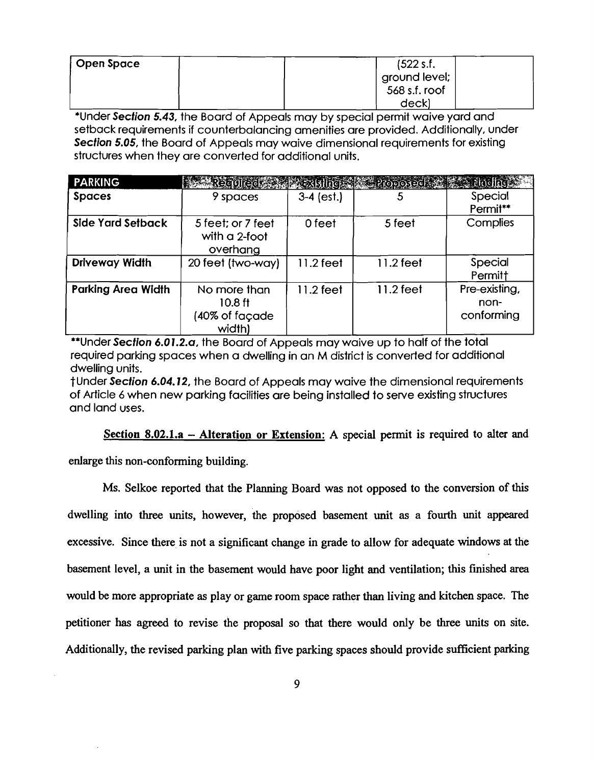| Open Space | (522 s.f.     |
|------------|---------------|
|            | ground level; |
|            | 568 s.f. roof |
|            | deck)         |

\*Under Section 5.43, the Board of Appeals may by special permit waive yard and setback requirements if counterbalancing amenities are provided. Additionally, under Section 5.05, the Board of Appeals may waive dimensional requirements for existing structures when they are converted for additional units.

| <b>PARKING</b>            | Reculed A Existing Proposed & Parling                 |              |             |                                     |
|---------------------------|-------------------------------------------------------|--------------|-------------|-------------------------------------|
| <b>Spaces</b>             | 9 spaces                                              | $3-4$ (est.) | 5           | Special<br>Permit**                 |
| Side Yard Setback         | 5 feet; or 7 feet<br>with a 2-foot<br>overhang        | 0 feet       | 5 feet      | Complies                            |
| <b>Driveway Width</b>     | 20 feet (two-way)                                     | $11.2$ feet  | $11.2$ feet | Special<br>Permitt                  |
| <b>Parking Area Width</b> | No more than<br>$10.8$ ft<br>(40% of façade<br>width) | $11.2$ feet  | $11.2$ feet | Pre-existing,<br>non-<br>conforming |

\*\*Under Section 6.01.2.a, the Board of Appeals may waive up to half of the total required parking spaces when a dwelling in an M district is converted for additional dwelling units.

tUnder Section 6.04.12, the Board of Appeals may waive the dimensional requirements of Article 6 when new parking facilities are being installed to serve existing structures and land uses.

Section 8.02.1.a  $-$  Alteration or Extension: A special permit is required to alter and

enlarge this non-conforming building.

Ms. Selkoe reported that the Planning Board was not opposed to the conversion of this dwelling into three units, however, the proposed basement unit as a fourth unit appeared excessive. Since there is not a significant change in grade to allow for adequate windows at the basement level, a unit in the basement would have poor light and ventilation; this finished area would be more appropriate as play or game room space rather than living and kitchen space. The petitioner has agreed to revise the proposal so that there would only be three units on site. Additionally, the revised parking plan with five parking spaces should provide sufficient parking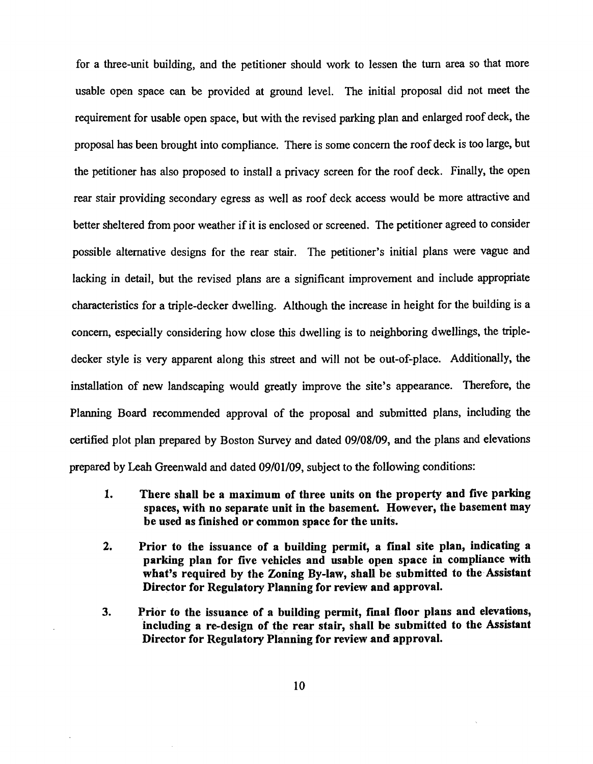for a three-unit building, and the petitioner should work to lessen the turn area so that more usable open space can be provided at ground level. The initial proposal did not meet the requirement for usable open space, but with the revised parking plan and enlarged roof deck, the proposal has been brought into compliance. There is some concern the roof deck is too large, but the petitioner has also proposed to install a privacy screen for the roof deck. Finally, the open rear stair providing secondary egress as well as roof deck access would be more attractive and better sheltered from poor weather if it is enclosed or screened. The petitioner agreed to consider possible alternative designs for the rear stair. The petitioner's initial plans were vague and lacking in detail, but the revised plans are a significant improvement and include appropriate characteristics for a triple-decker dwelling. Although the increase in height for the building is a concern, especially considering how close this dwelling is to neighboring dwellings, the tripledecker style is very apparent along this street and will not be out-of-place. Additionally, the installation of new landscaping would greatly improve the site's appearance. Therefore, the Planning Board recommended approval of the proposal and submitted plans, including the certified plot plan prepared by Boston Survey and dated 09/08/09, and the plans and elevations prepared by Leah Greenwald and dated 09/01109, subject to the following conditions:

- 1. There shall be a maximum of three units on the property and five parking spaces, with no separate unit in the basement. However, the basement may be used as finished or common space for the units.
- 2. Prior to the issuance of a building permit, a final site plan, indicating a parking plan for five vehicles and usable open space in compliance with what's required by the Zoning By-law, shall be submitted to the Assistant Director for Regulatory Planning for review and approval.
- 3. Prior to the issuance of a building permit, final floor plans and elevations, including a re-design of the rear stair, shall be submitted to the Assistant Director for Regulatory Planning for review and approval.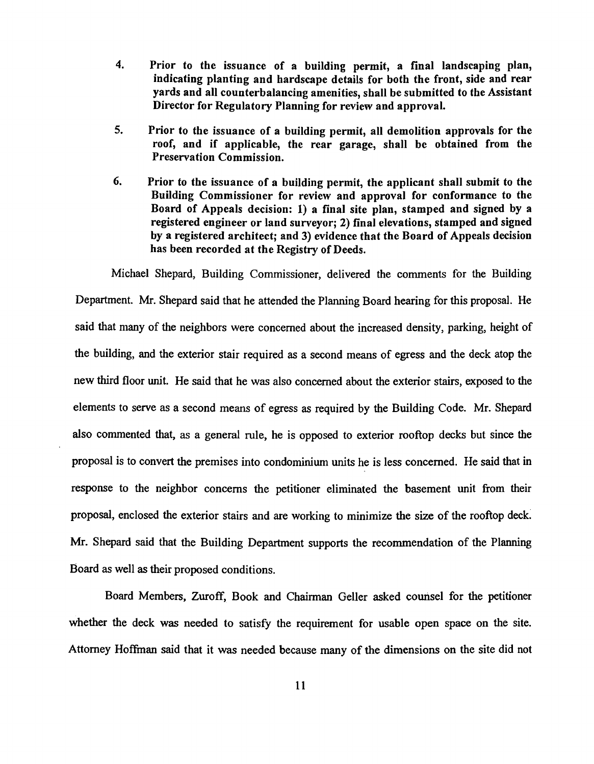- 4. Prior to the issuance of a building permit, a final landscaping plan, indicating planting and hardscape details for both the front, side and rear yards and all counterbalancing amenities, shall be submitted to the Assistant Director for Regulatory Planning for review and approval.
- 5. Prior to the issuance of a building permit, all demolition approvals for the roof, and if applicable, the rear garage, shall be obtained from the Preservation Commission.
- 6. Prior to the issuance of a building permit, the applicant shall submit to the Building Commissioner for review and approval for conformance to the Board of Appeals decision: 1) a final site plan, stamped and signed by a registered engineer or land surveyor; 2) final elevations, stamped and signed by a registered architect; and 3) evidence that the Board of Appeals decision has been recorded at the Registry of Deeds.

Michael Shepard, Building Commissioner, delivered the comments for the Building Department. Mr. Shepard said that he attended the Planning Board hearing for this proposal. He said that many of the neighbors were concerned about the increased density, parking, height of the building, and the exterior stair required as a second means of egress and the deck atop the new third floor unit. He said that he was also concerned about the exterior stairs, exposed to the elements to serve as a second means of egress as required by the Building Code. Mr. Shepard also commented that, as a general rule, he is opposed to exterior rooftop decks but since the proposal is to convert the premises into condominium units he is less concerned. He said that in response to the neighbor concerns the petitioner eliminated the basement unit from their proposal, enclosed the exterior stairs and are working to minimize the size of the rooftop deck Mr. Shepard said that the Building Department supports the recommendation of the Planning Board as well as their proposed conditions.

Board Members, Zuroff, Book and Chainnan Geller asked counsel for the petitioner whether the deck was needed to satisfy the requirement for usable open space on the site. Attorney Hoffman said that it was needed because many of the dimensions on the site did not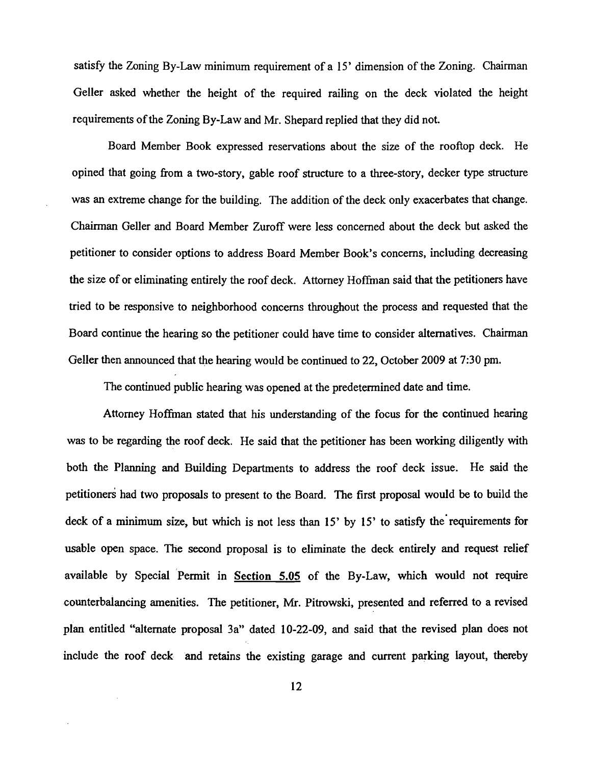satisfy the Zoning By-Law minimum requirement of a 15' dimension of the Zoning. Chairman Geller asked whether the height of the required railing on the deck violated the height requirements of the Zoning By-Law and Mr. Shepard replied that they did not.

Board Member Book expressed reservations about the size of the rooftop deck. He opined that going from a two-story. gable roof structure to a three-story. decker type structure was an extreme change for the building. The addition of the deck only exacerbates that change. Chainnan Geller and Board Member Zuroff were less concerned about the deck but asked the petitioner to consider options to address Board Member Book's concerns. including decreasing the size of or eliminating entirely the roof deck. Attorney Hoffman said that the petitioners have tried to be responsive to neighborhood concerns throughout the process and requested that the Board continue the hearing so the petitioner could have time to consider alternatives. Chairman Geller then announced that the hearing would be continued to 22. October 2009 at 7:30 pm.

The continued public hearing was opened at the predetermined date and time.

Attorney Hoffinan stated that his understanding of the focus for the continued hearing was to be regarding the roof deck. He said that the petitioner has been working diligently with both the Planning and Building Departments to address the roof deck issue. He said the petitioners had two proposals to present to the Board. The first proposal would be to build the deck of a minimum size, but which is not less than 15' by 15' to satisfy the' requirements for usable open space. The second proposal is to eliminate the deck entirely and request relief available by Special Permit in Section 5.05 of the By-Law, which would not require counterbalancing amenities. The petitioner, Mr. Pitrowski, presented and referred to a revised plan entitled "alternate proposal 3a" dated 10-22-09, and said that the revised plan does not include the roof deck and retains the existing garage and current parking layout. thereby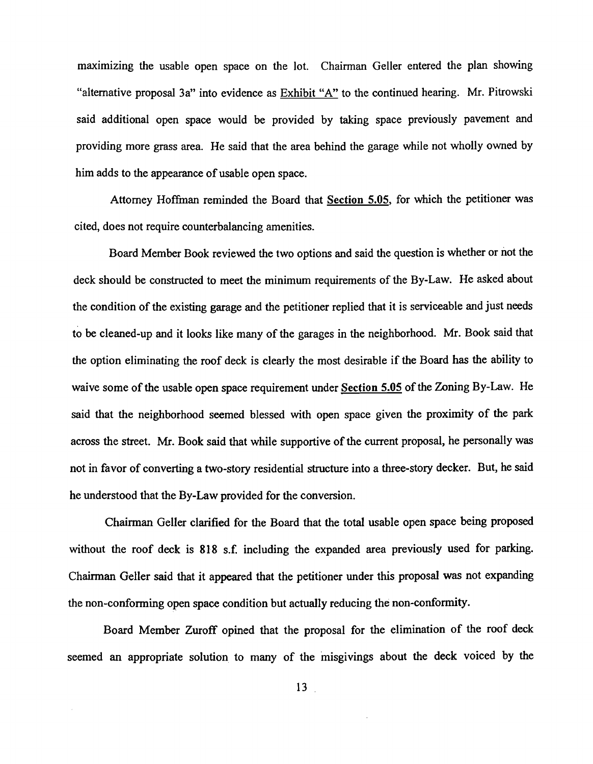maximizing the usable open space on the lot. Chairman Geller entered the plan showing "alternative proposal 3a" into evidence as Exhibit "A" to the continued hearing. Mr. Pitrowski said additional open space would be provided by taking space previously pavement and providing more grass area. He said that the area behind the garage while not wholly owned by him adds to the appearance of usable open space.

Attorney Hoffman reminded the Board that Section 5.05, for which the petitioner was cited, does not require counterbalancing amenities.

Board Member Book reviewed the two options and said the question is whether or not the deck should be constructed to meet the minimum requirements of the By-Law. He asked about the condition of the existing garage and the petitioner replied that it is serviceable and just needs to be cleaned-up and it looks like many of the garages in the neighborhood. Mr. Book said that the option eliminating the roof deck is clearly the most desirable if the Board has the ability to waive some of the usable open space requirement under Section 5.05 of the Zoning By-Law. He said that the neighborhood seemed blessed with open space given the proximity of the park across the street. Mr. Book said that while supportive of the current proposal, he personally was not in favor of converting a two-story residential structure into a three-story decker. But, he said he understood that the By-Law provided for the conversion.

Chairman Geller clarified for the Board that the total usable open space being proposed without the roof deck is 818 s.f. including the expanded area previously used for parking. Chairman Geller said that it appeared that the petitioner under this proposal was not expanding the non-conforming open space condition but actually reducing the non-conformity.

Board Member Zuroff opined that the proposal for the elimination of the roof deck seemed an appropriate solution to many of the misgivings about the deck voiced by the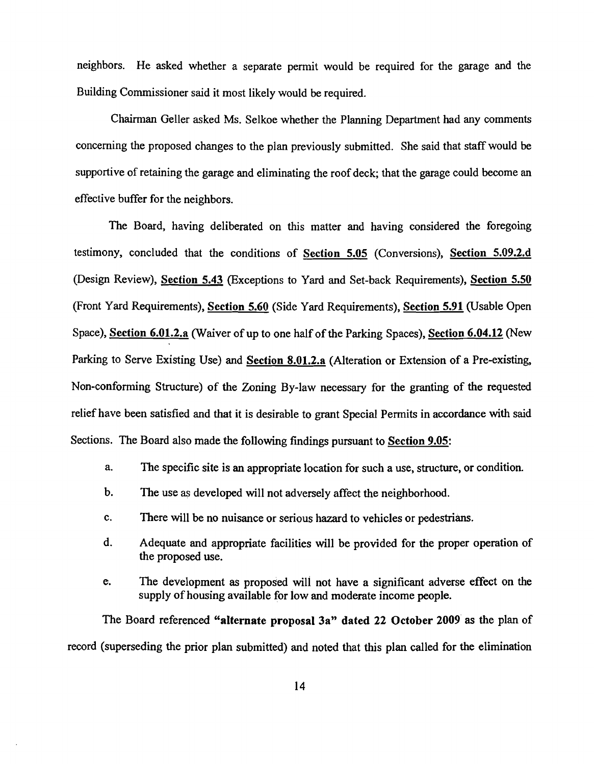neighbors. He asked whether a separate pennit would be required for the garage and the Building Commissioner said it most likely would be required.

Chairman Geller asked Ms. Selkoe whether the Planning Department had any comments concerning the proposed changes to the plan previously submitted. She said that staff would be supportive of retaining the garage and eliminating the roof deck; that the garage could become an effective buffer for the neighbors.

The Board, having deliberated on this matter and having considered the foregoing testimony, concluded that the conditions of Section 5.05 (Conversions), Section 5.09.2.d (Design Review), Section 5.43 (Exceptions to Yard and Set-back Requirements), Section 5.50 (Front Yard Requirements), Section 5.60 (Side Yard Requirements), Section 5.91 (Usable Open Space), Section 6.01.2.a (Waiver of up to one half of the Parking Spaces), Section 6.04.12 (New Parking to Serve Existing Use) and Section 8.01.2.a (Alteration or Extension of a Pre-existing, Non-confonning Structure) of the Zoning By-law necessary for the granting of the requested relief have been satisfied and that it is desirable to grant Special Permits in accordance with said Sections. The Board also made the following findings pursuant to Section 9.05:

- a. The specific site is an appropriate location for such a use, structure, or condition.
- b. The use as developed will not adversely affect the neighborhood.
- c. There will be no nuisance or serious hazard to vehicles or pedestrians.
- d. Adequate and appropriate facilities will be provided for the proper operation of the proposed use.
- e. The development as proposed wili not have a significant adverse effect on the supply of housing available for low and moderate income people.

The Board referenced "alternate proposal 3a" dated 22 October 2009 as the plan of record (superseding the prior plan submitted) and noted that this plan called for the elimination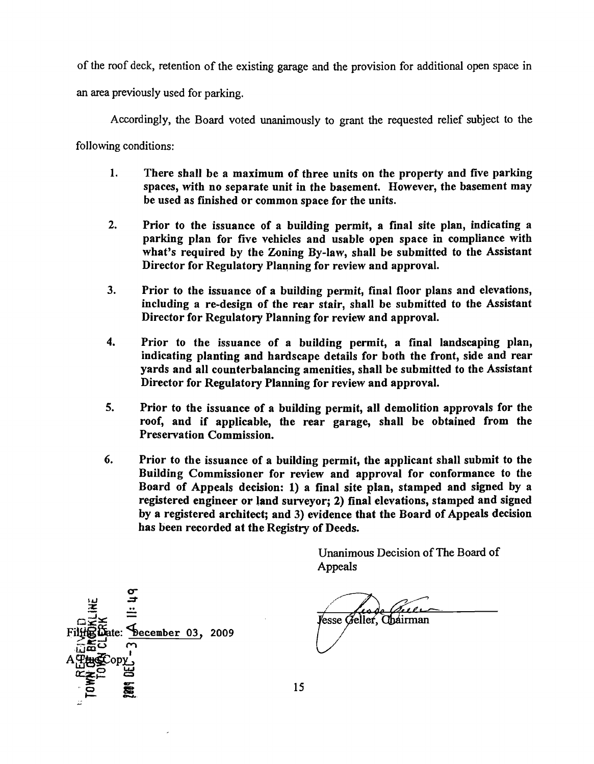of the roof deck, retention of the existing garage and the provision for additional open space in

an area previously used for parking.

Accordingly, the Board voted unanimously to grant the requested relief subject to the

following conditions:

- 1. There shall be a maximum of three units on the property and five parking spaces, with no separate unit in the basement. However, the basement may be used as fmished or common space for the units.
- 2. Prior to the issuance of a building permit, a final site plan, indicating a parking plan for five vehicles and usable open space in compliance with what's required by the Zoning By-law, shall be submitted to the Assistant Director for Regulatory Planning for review and approval.
- 3. Prior to the issuance of a building permit, final floor plans and elevations, including a re-design of the rear stair, shall be submitted to the Assistant Director for Regulatory Planning for review and approval.
- 4. Prior to the issuance of a building permit, a final landscaping plan, indicating planting and hardscape details for both the front, side and rear yards and all counterbalancing amenities, shall be submitted to the Assistant Director for Regulatory Planning for review and approval.
- 5. Prior to the issuance of a building permit, all demolition approvals for the roof, and if applicable, the rear garage, shall be obtained from the Preservation Commission.
- 6. Prior to the issuance of a building permit, the applicant shall submit to the Building Commissioner for review and approval for conformance to the Board of Appeals decision: 1) a final site plan, stamped and signed by a registered engineer or land surveyor; 2) final elevations, stamped and signed by a registered architect; and 3) evidence that the Board of Appeals decision has been recorded at the Registry of Deeds.

Unanimous Decision of The Board of Appeals

ماممه Vesse Geller, Chairman